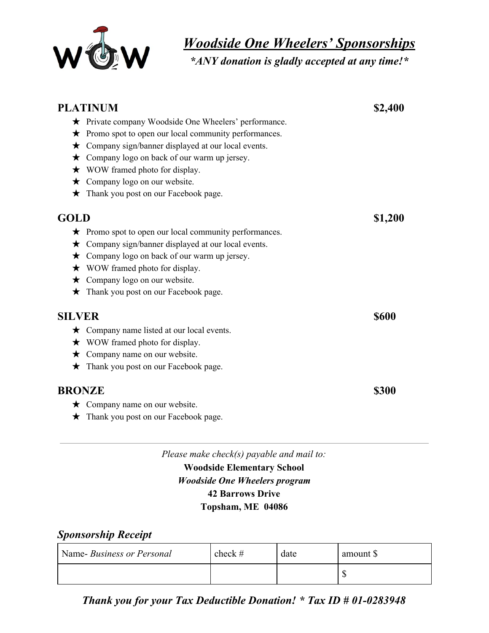

*Woodside One Wheelers' Sponsorships*

*\*ANY donation is gladly accepted at any time!\**

| <b>PLATINUM</b> |                                                              | \$2,400      |  |
|-----------------|--------------------------------------------------------------|--------------|--|
|                 | ★ Private company Woodside One Wheelers' performance.        |              |  |
| $\bigstar$      | Promo spot to open our local community performances.         |              |  |
| $\bigstar$      | Company sign/banner displayed at our local events.           |              |  |
| $\bigstar$      | Company logo on back of our warm up jersey.                  |              |  |
|                 | $\star$ WOW framed photo for display.                        |              |  |
| $\bigstar$      | Company logo on our website.                                 |              |  |
| $\bigstar$      | Thank you post on our Facebook page.                         |              |  |
| <b>GOLD</b>     |                                                              | \$1,200      |  |
|                 | $\star$ Promo spot to open our local community performances. |              |  |
| $\star$         | Company sign/banner displayed at our local events.           |              |  |
| $\star$         | Company logo on back of our warm up jersey.                  |              |  |
|                 | $\star$ WOW framed photo for display.                        |              |  |
| $\bigstar$      | Company logo on our website.                                 |              |  |
| $\bigstar$      | Thank you post on our Facebook page.                         |              |  |
| <b>SILVER</b>   |                                                              | <b>\$600</b> |  |
|                 | $\star$ Company name listed at our local events.             |              |  |
|                 | $\star$ WOW framed photo for display.                        |              |  |
| $\star$         | Company name on our website.                                 |              |  |
|                 | $\star$ Thank you post on our Facebook page.                 |              |  |
| <b>BRONZE</b>   |                                                              | \$300        |  |
|                 | $\star$ Company name on our website.                         |              |  |
|                 | ★ Thank you post on our Facebook page.                       |              |  |

*Please make check(s) payable and mail to:* **Woodside Elementary School** *Woodside One Wheelers program* **42 Barrows Drive Topsham, ME 04086**

## *Sponsorship Receipt*

| Name-Business or Personal | check # | date | amount \$ |
|---------------------------|---------|------|-----------|
|                           |         |      |           |

*Thank you for your Tax Deductible Donation! \* Tax ID # 01-0283948*